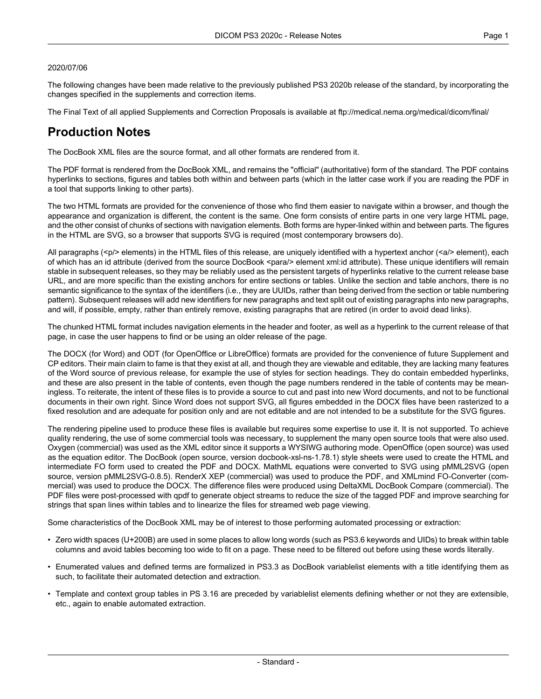#### 2020/07/06

The following changes have been made relative to the previously published PS3 2020b release of the standard, by incorporating the changes specified in the supplements and correction items.

The Final Text of all applied Supplements and Correction Proposals is available at <ftp://medical.nema.org/medical/dicom/final/>

# **Production Notes**

The DocBook XML files are the source format, and all other formats are rendered from it.

The PDF format is rendered from the DocBook XML, and remains the "official" (authoritative) form of the standard. The PDF contains hyperlinks to sections, figures and tables both within and between parts (which in the latter case work if you are reading the PDF in a tool that supports linking to other parts).

The two HTML formats are provided for the convenience of those who find them easier to navigate within a browser, and though the appearance and organization is different, the content is the same. One form consists of entire parts in one very large HTML page, and the other consist of chunks of sections with navigation elements. Both forms are hyper-linked within and between parts. The figures in the HTML are SVG, so a browser that supports SVG is required (most contemporary browsers do).

All paragraphs (<p/> elements) in the HTML files of this release, are uniquely identified with a hypertext anchor (<a/><a/>> element), each of which has an id attribute (derived from the source DocBook <para/> element xml:id attribute). These unique identifiers will remain stable in subsequent releases, so they may be reliably used as the persistent targets of hyperlinks relative to the current release base URL, and are more specific than the existing anchors for entire sections or tables. Unlike the section and table anchors, there is no semantic significance to the syntax of the identifiers (i.e., they are UUIDs, rather than being derived from the section or table numbering pattern). Subsequent releases will add new identifiers for new paragraphs and text split out of existing paragraphs into new paragraphs, and will, if possible, empty, rather than entirely remove, existing paragraphs that are retired (in order to avoid dead links).

The chunked HTML format includes navigation elements in the header and footer, as well as a hyperlink to the current release of that page, in case the user happens to find or be using an older release of the page.

The DOCX (for Word) and ODT (for OpenOffice or LibreOffice) formats are provided for the convenience of future Supplement and CP editors. Their main claim to fame is that they exist at all, and though they are viewable and editable, they are lacking many features of the Word source of previous release, for example the use of styles for section headings. They do contain embedded hyperlinks, and these are also present in the table of contents, even though the page numbers rendered in the table of contents may be mean ingless. To reiterate, the intent of these files is to provide a source to cut and past into new Word documents, and not to be functional documents in their own right. Since Word does not support SVG, all figures embedded in the DOCX files have been rasterized to a fixed resolution and are adequate for position only and are not editable and are not intended to be a substitute for the SVG figures.

The rendering pipeline used to produce these files is available but requires some expertise to use it. It is not supported. To achieve quality rendering, the use of some commercial tools was necessary, to supplement the many open source tools that were also used. Oxygen (commercial) was used as the XML editor since it supports a WYSIWG authoring mode. OpenOffice (open source) was used as the equation editor. The DocBook (open source, version docbook-xsl-ns-1.78.1) style sheets were used to create the HTML and intermediate FO form used to created the PDF and DOCX. MathML equations were converted to SVG using pMML2SVG (open source, version pMML2SVG-0.8.5). RenderX XEP (commercial) was used to produce the PDF, and XMLmind FO-Converter (com mercial) was used to produce the DOCX. The difference files were produced using DeltaXML DocBook Compare (commercial). The PDF files were post-processed with qpdf to generate object streams to reduce the size of the tagged PDF and improve searching for strings that span lines within tables and to linearize the files for streamed web page viewing.

Some characteristics of the DocBook XML may be of interest to those performing automated processing or extraction:

- Zero width spaces (U+200B) are used in some places to allow long words (such as PS3.6 keywords and UIDs) to break within table columns and avoid tables becoming too wide to fit on a page. These need to be filtered out before using these words literally.
- Enumerated values and defined terms are formalized in PS3.3 as DocBook variablelist elements with a title identifying them as such, to facilitate their automated detection and extraction.
- Template and context group tables in PS 3.16 are preceded by variablelist elements defining whether or not they are extensible, etc., again to enable automated extraction.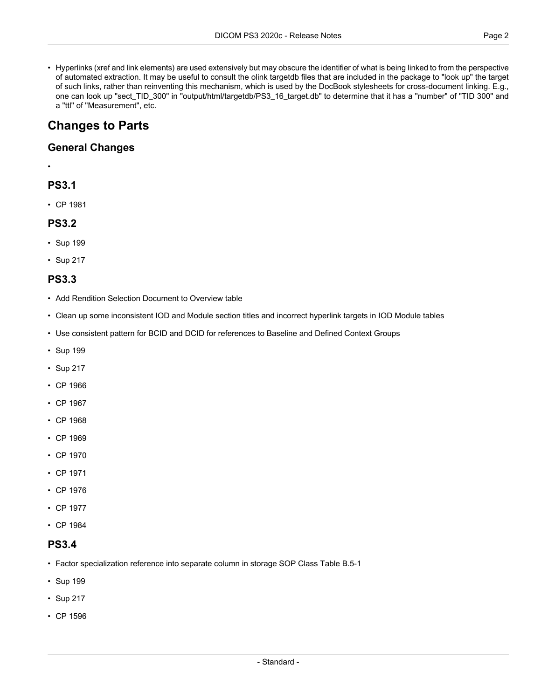• Hyperlinks (xref and link elements) are used extensively but may obscure the identifier of what is being linked to from the perspective of automated extraction. It may be useful to consult the olink targetdb files that are included in the package to "look up" the target of such links, rather than reinventing this mechanism, which is used by the DocBook stylesheets for cross-document linking. E.g., one can look up "sect\_TID\_300" in "output/html/targetdb/PS3\_16\_target.db" to determine that it has a "number" of "TID 300" and a "ttl" of "Measurement", etc.

# **Changes to Parts**

### **General Changes**

# **PS3.1**

•

- 
- CP [1981](#page-3-0)

#### **PS3.2**

- [Sup](#page-3-1) 199
- [Sup](#page-3-2) 217

## **PS3.3**

- Add Rendition Selection Document to Overview table
- Clean up some inconsistent IOD and Module section titles and incorrect hyperlink targets in IOD Module tables
- Use consistent pattern for BCID and DCID for references to Baseline and Defined Context Groups
- [Sup](#page-3-1) 199
- [Sup](#page-3-2) 217
- CP [1966](#page-3-3)
- CP [1967](#page-3-4)
- CP [1968](#page-3-5)
- CP [1969](#page-3-6)
- CP [1970](#page-3-7)
- CP [1971](#page-3-8)
- CP [1976](#page-3-9)
- CP [1977](#page-3-10)
- CP [1984](#page-3-11)

## **PS3.4**

- Factor specialization reference into separate column in storage SOP Class Table B.5-1
- [Sup](#page-3-1) 199
- [Sup](#page-3-2) 217
- CP [1596](#page-3-12)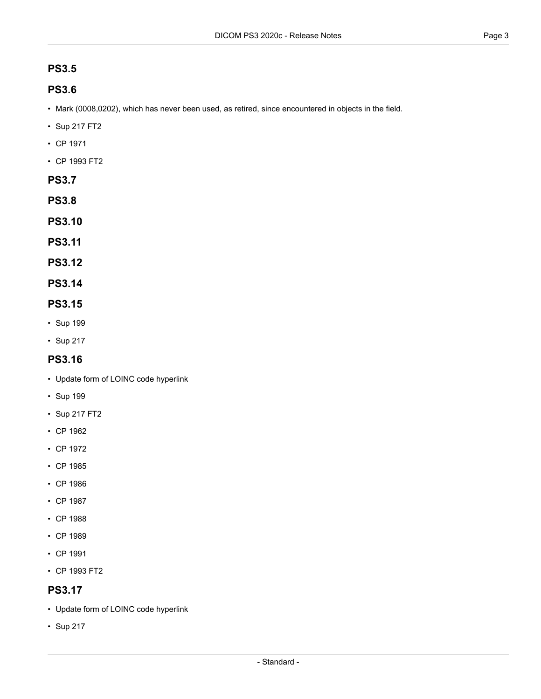# **PS3.5**

# **PS3.6**

- Mark (0008,0202), which has never been used, as retired, since encountered in objects in the field.
- [Sup](#page-3-2) 217 FT2
- CP [1971](#page-3-8)
- CP [1993](#page-3-13) FT2
- **PS3.7**
- **PS3.8**
- **PS3.10**
- **PS3.11**
- **PS3.12**
- **PS3.14**

#### **PS3.15**

- [Sup](#page-3-1) 199
- [Sup](#page-3-2) 217

## **PS3.16**

- Update form of LOINC code hyperlink
- [Sup](#page-3-1) 199
- [Sup](#page-3-2) 217 FT2
- CP [1962](#page-3-14)
- CP [1972](#page-3-15)
- CP [1985](#page-3-16)
- CP [1986](#page-3-17)
- CP [1987](#page-3-18)
- CP [1988](#page-3-19)
- CP [1989](#page-3-20)
- CP [1991](#page-3-21)
- CP [1993](#page-3-13) FT2

## **PS3.17**

- Update form of LOINC code hyperlink
- [Sup](#page-3-2) 217